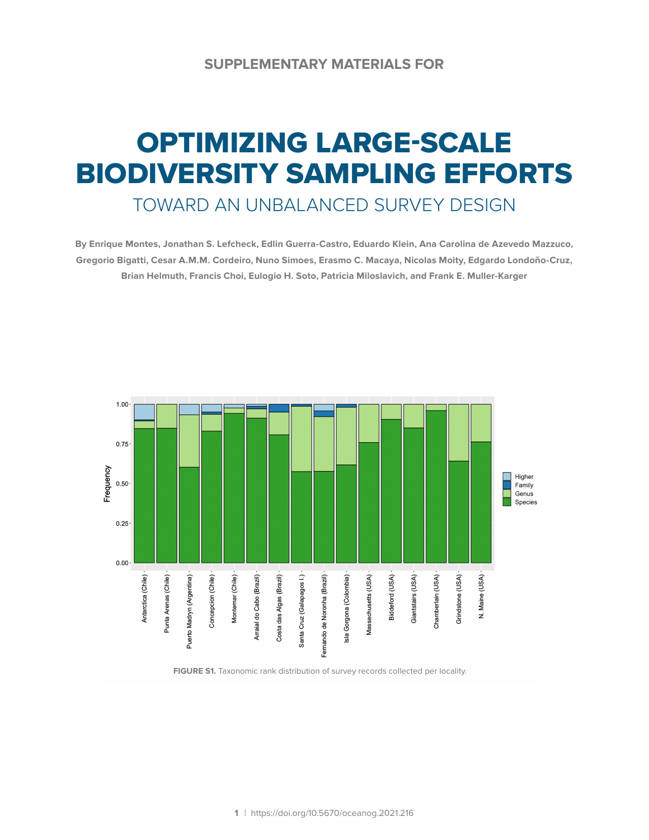## OPTIMIZING LARGE-SCALE BIODIVERSITY SAMPLING EFFORTS

TOWARD AN UNBALANCED SURVEY DESIGN

**By Enrique Montes, Jonathan S. Lefcheck, Edlin Guerra-Castro, Eduardo Klein, Ana Carolina de Azevedo Mazzuco, Gregorio Bigatti, Cesar A.M.M. Cordeiro, Nuno Simoes, Erasmo C. Macaya, Nicolas Moity, Edgardo Londoño-Cruz, Brian Helmuth, Francis Choi, Eulogio H. Soto, Patricia Miloslavich, and Frank E. Muller-Karger**



**FIGURE S1.** Taxonomic rank distribution of survey records collected per locality.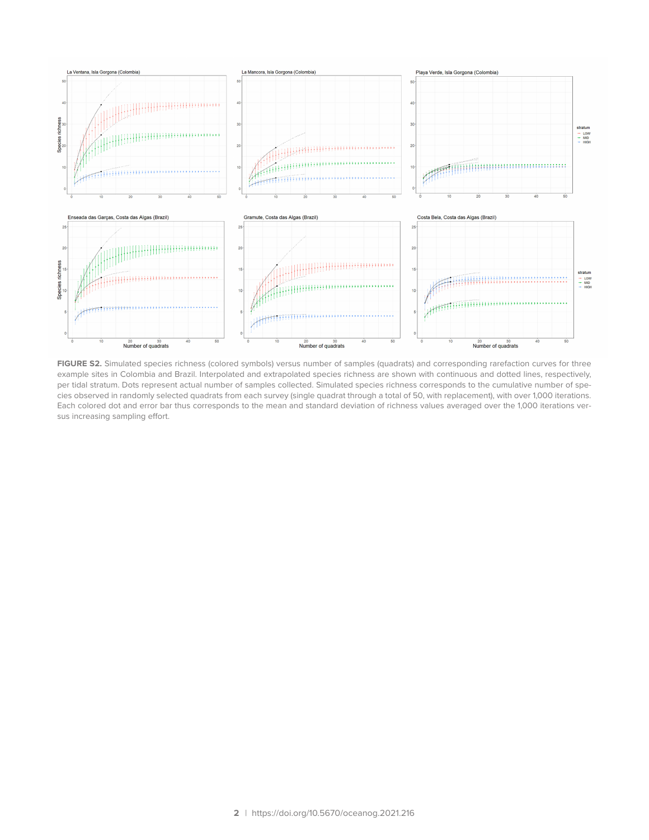

**FIGURE S2.** Simulated species richness (colored symbols) versus number of samples (quadrats) and corresponding rarefaction curves for three example sites in Colombia and Brazil. Interpolated and extrapolated species richness are shown with continuous and dotted lines, respectively, per tidal stratum. Dots represent actual number of samples collected. Simulated species richness corresponds to the cumulative number of species observed in randomly selected quadrats from each survey (single quadrat through a total of 50, with replacement), with over 1,000 iterations. Each colored dot and error bar thus corresponds to the mean and standard deviation of richness values averaged over the 1,000 iterations versus increasing sampling effort.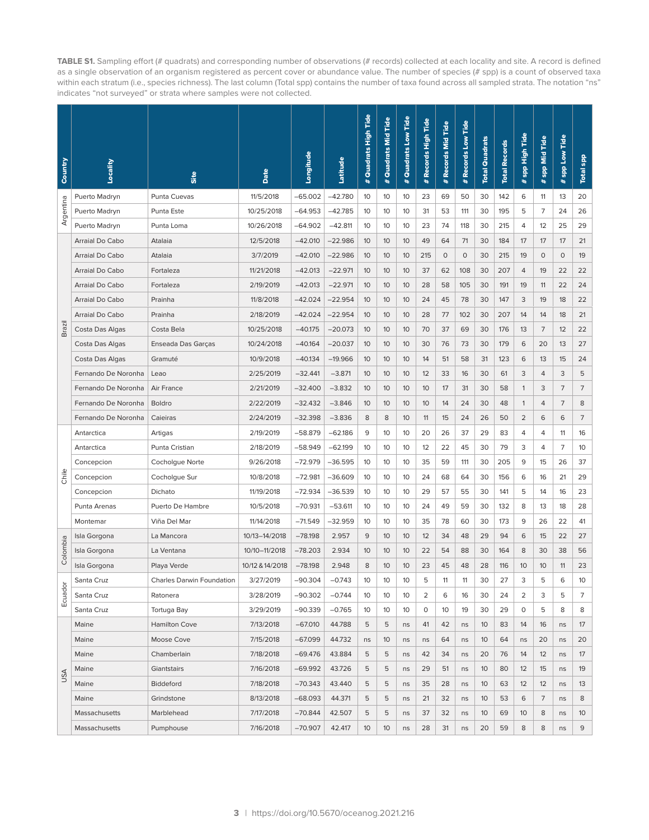**TABLE S1.** Sampling effort (# quadrats) and corresponding number of observations (# records) collected at each locality and site. A record is defined as a single observation of an organism registered as percent cover or abundance value. The number of species (# spp) is a count of observed taxa within each stratum (i.e., species richness). The last column (Total spp) contains the number of taxa found across all sampled strata. The notation "ns" indicates "not surveyed" or strata where samples were not collected.

| Country            | Locality            | Site                             | Date            | Longitude | Latitude  | Quadrats High Tide<br>$\ddot{\phantom{A}}$ | # Quadrats Mid Tide | Quadrats Low Tide<br>$\ddot{\ast}$ | # Records High Tide | Records Mid Tide<br>$\pmb{\ast}$ | # Records Low Tide | <b>Total Quadrats</b> | <b>Total Records</b> | spp High Tide<br>$\ddot{\ast}$ | spp Mid Tide<br># | spp Low Tide<br>$\ddot{\phantom{1}}$ | <b>Total spp</b> |
|--------------------|---------------------|----------------------------------|-----------------|-----------|-----------|--------------------------------------------|---------------------|------------------------------------|---------------------|----------------------------------|--------------------|-----------------------|----------------------|--------------------------------|-------------------|--------------------------------------|------------------|
|                    | Puerto Madryn       | Punta Cuevas                     | 11/5/2018       | $-65.002$ | $-42.780$ | 10                                         | 10                  | 10                                 | 23                  | 69                               | 50                 | 30                    | 142                  | 6                              | 11                | 13                                   | 20               |
| Argentina          | Puerto Madryn       | Punta Este                       | 10/25/2018      | $-64.953$ | $-42.785$ | 10                                         | 10                  | 10                                 | 31                  | 53                               | 111                | 30                    | 195                  | 5                              | 7                 | 24                                   | 26               |
|                    | Puerto Madryn       | Punta Loma                       | 10/26/2018      | $-64.902$ | $-42.811$ | 10                                         | 10                  | 10                                 | 23                  | 74                               | 118                | 30                    | 215                  | 4                              | 12                | 25                                   | 29               |
| Brazil             | Arraial Do Cabo     | Atalaia                          | 12/5/2018       | $-42.010$ | $-22.986$ | 10                                         | 10                  | 10                                 | 49                  | 64                               | 71                 | 30                    | 184                  | 17                             | 17                | 17                                   | 21               |
|                    | Arraial Do Cabo     | Atalaia                          | 3/7/2019        | $-42.010$ | $-22.986$ | 10 <sup>2</sup>                            | 10                  | 10 <sup>°</sup>                    | 215                 | $\circ$                          | 0                  | 30                    | 215                  | 19                             | $\circ$           | $\circ$                              | 19               |
|                    | Arraial Do Cabo     | Fortaleza                        | 11/21/2018      | $-42.013$ | $-22.971$ | 10                                         | 10                  | 10                                 | 37                  | 62                               | 108                | 30                    | 207                  | 4                              | 19                | 22                                   | 22               |
|                    | Arraial Do Cabo     | Fortaleza                        | 2/19/2019       | $-42.013$ | $-22.971$ | 10                                         | 10                  | 10                                 | 28                  | 58                               | 105                | 30                    | 191                  | 19                             | 11                | 22                                   | 24               |
|                    | Arraial Do Cabo     | Prainha                          | 11/8/2018       | $-42.024$ | $-22.954$ | 10                                         | 10                  | 10                                 | 24                  | 45                               | 78                 | 30                    | 147                  | 3                              | 19                | 18                                   | 22               |
|                    | Arraial Do Cabo     | Prainha                          | 2/18/2019       | $-42.024$ | $-22.954$ | 10 <sup>2</sup>                            | 10                  | 10                                 | 28                  | 77                               | 102                | 30                    | 207                  | 14                             | 14                | 18                                   | 21               |
|                    | Costa Das Algas     | Costa Bela                       | 10/25/2018      | $-40.175$ | $-20.073$ | 10                                         | 10                  | 10                                 | 70                  | 37                               | 69                 | 30                    | 176                  | 13                             | 7                 | 12                                   | 22               |
|                    | Costa Das Algas     | Enseada Das Garças               | 10/24/2018      | $-40.164$ | $-20.037$ | 10                                         | 10                  | 10                                 | 30                  | 76                               | 73                 | 30                    | 179                  | 6                              | 20                | 13                                   | 27               |
|                    | Costa Das Algas     | Gramuté                          | 10/9/2018       | $-40.134$ | $-19.966$ | 10                                         | 10                  | 10                                 | 14                  | 51                               | 58                 | 31                    | 123                  | 6                              | 13                | 15                                   | 24               |
|                    | Fernando De Noronha | Leao                             | 2/25/2019       | $-32.441$ | $-3.871$  | 10                                         | 10                  | 10                                 | 12                  | 33                               | 16                 | 30                    | 61                   | 3                              | 4                 | 3                                    | 5                |
|                    | Fernando De Noronha | Air France                       | 2/21/2019       | $-32.400$ | $-3.832$  | 10                                         | 10                  | 10                                 | 10                  | 17                               | 31                 | 30                    | 58                   | $\mathbf{1}$                   | 3                 | 7                                    | 7                |
|                    | Fernando De Noronha | <b>Boldro</b>                    | 2/22/2019       | $-32.432$ | $-3.846$  | 10                                         | 10                  | 10                                 | 10                  | 14                               | 24                 | 30                    | 48                   | $\mathbf{1}$                   | 4                 | 7                                    | 8                |
|                    | Fernando De Noronha | Caieiras                         | 2/24/2019       | $-32.398$ | $-3.836$  | 8                                          | 8                   | 10                                 | 11                  | 15                               | 24                 | 26                    | 50                   | 2                              | 6                 | 6                                    | $\overline{7}$   |
|                    | Antarctica          | Artigas                          | 2/19/2019       | $-58.879$ | $-62.186$ | 9                                          | 10                  | 10                                 | 20                  | 26                               | 37                 | 29                    | 83                   | 4                              | 4                 | 11                                   | 16               |
|                    | Antarctica          | Punta Cristian                   | 2/18/2019       | $-58.949$ | $-62.199$ | 10                                         | 10                  | 10                                 | 12                  | 22                               | 45                 | 30                    | 79                   | 3                              | 4                 | 7                                    | 10               |
|                    | Concepcion          | Cocholgue Norte                  | 9/26/2018       | -72.979   | $-36.595$ | 10                                         | 10                  | 10                                 | 35                  | 59                               | 111                | 30                    | 205                  | 9                              | 15                | 26                                   | 37               |
| Chile              | Concepcion          | Cocholgue Sur                    | 10/8/2018       | $-72.981$ | $-36.609$ | 10                                         | 10                  | 10                                 | 24                  | 68                               | 64                 | 30                    | 156                  | 6                              | 16                | 21                                   | 29               |
|                    | Concepcion          | Dichato                          | 11/19/2018      | $-72.934$ | $-36.539$ | 10                                         | 10                  | 10                                 | 29                  | 57                               | 55                 | 30                    | 141                  | 5                              | 14                | 16                                   | 23               |
|                    | Punta Arenas        | Puerto De Hambre                 | 10/5/2018       | $-70.931$ | $-53.611$ | 10                                         | 10                  | 10                                 | 24                  | 49                               | 59                 | 30                    | 132                  | 8                              | 13                | 18                                   | 28               |
|                    | Montemar            | Viña Del Mar                     | 11/14/2018      | $-71.549$ | $-32.959$ | 10                                         | 10                  | 10                                 | 35                  | 78                               | 60                 | 30                    | 173                  | 9                              | 26                | 22                                   | 41               |
| Colombia<br>Ecuado | Isla Gorgona        | La Mancora                       | 10/13-14/2018   | $-78.198$ | 2.957     | 9                                          | 10                  | 10                                 | 12                  | 34                               | 48                 | 29                    | 94                   | 6                              | 15                | 22                                   | 27               |
|                    | Isla Gorgona        | La Ventana                       | 10/10-11/2018   | $-78.203$ | 2.934     | 10                                         | 10                  | 10 <sup>°</sup>                    | 22                  | 54                               | 88                 | 30                    | 164                  | 8                              | 30                | 38                                   | 56               |
|                    | Isla Gorgona        | Playa Verde                      | 10/12 & 14/2018 | $-78.198$ | 2.948     | 8                                          | 10                  | 10                                 | 23                  | 45                               | 48                 | 28                    | 116                  | 10                             | 10                | 11                                   | 23               |
|                    | Santa Cruz          | <b>Charles Darwin Foundation</b> | 3/27/2019       | -90.304   | $-0.743$  | 10                                         | 10                  | 10                                 | 5                   | 11                               | 11                 | 30                    | 27                   | 3                              | 5                 | 6                                    | 10               |
|                    | Santa Cruz          | Ratonera                         | 3/28/2019       | $-90.302$ | $-0.744$  | 10                                         | 10                  | 10                                 | 2                   | 6                                | 16                 | 30                    | 24                   | 2                              | 3                 | 5                                    | 7                |
|                    | Santa Cruz          | Tortuga Bay                      | 3/29/2019       | $-90.339$ | $-0.765$  | 10                                         | 10                  | 10                                 | 0                   | 10                               | 19                 | 30                    | 29                   | 0                              | 5                 | 8                                    | 8                |
| ASU                | Maine               | <b>Hamilton Cove</b>             | 7/13/2018       | $-67.010$ | 44.788    | 5                                          | 5                   | ns                                 | 41                  | 42                               | ns                 | 10                    | 83                   | 14                             | 16                | ns                                   | 17               |
|                    | Maine               | Moose Cove                       | 7/15/2018       | $-67.099$ | 44.732    | ns                                         | 10                  | ns                                 | ns                  | 64                               | ns                 | 10                    | 64                   | ns                             | 20                | ns                                   | 20               |
|                    | Maine               | Chamberlain                      | 7/18/2018       | $-69.476$ | 43.884    | 5                                          | 5                   | ns                                 | 42                  | 34                               | ns                 | 20                    | 76                   | 14                             | 12                | ns                                   | 17               |
|                    | Maine               | Giantstairs                      | 7/16/2018       | $-69.992$ | 43.726    | 5                                          | 5                   | ns                                 | 29                  | 51                               | ns                 | 10                    | 80                   | 12                             | 15                | ns                                   | 19               |
|                    | Maine               | Biddeford                        | 7/18/2018       | $-70.343$ | 43.440    | 5                                          | 5                   | ns                                 | 35                  | 28                               | ns                 | 10                    | 63                   | 12                             | 12                | ns                                   | 13               |
|                    | Maine               | Grindstone                       | 8/13/2018       | $-68.093$ | 44.371    | 5                                          | 5                   | ns                                 | 21                  | 32                               | ns                 | 10                    | 53                   | 6                              | 7                 | ns                                   | 8                |
|                    | Massachusetts       | Marblehead                       | 7/17/2018       | $-70.844$ | 42.507    | 5                                          | 5                   | ns                                 | 37                  | 32                               | ns                 | 10                    | 69                   | 10 <sup>°</sup>                | 8                 | ns                                   | 10 <sup>°</sup>  |
|                    | Massachusetts       | Pumphouse                        | 7/16/2018       | $-70.907$ | 42.417    | 10                                         | 10                  | ns                                 | 28                  | 31                               | ns                 | 20                    | 59                   | 8                              | 8                 | ns                                   | 9                |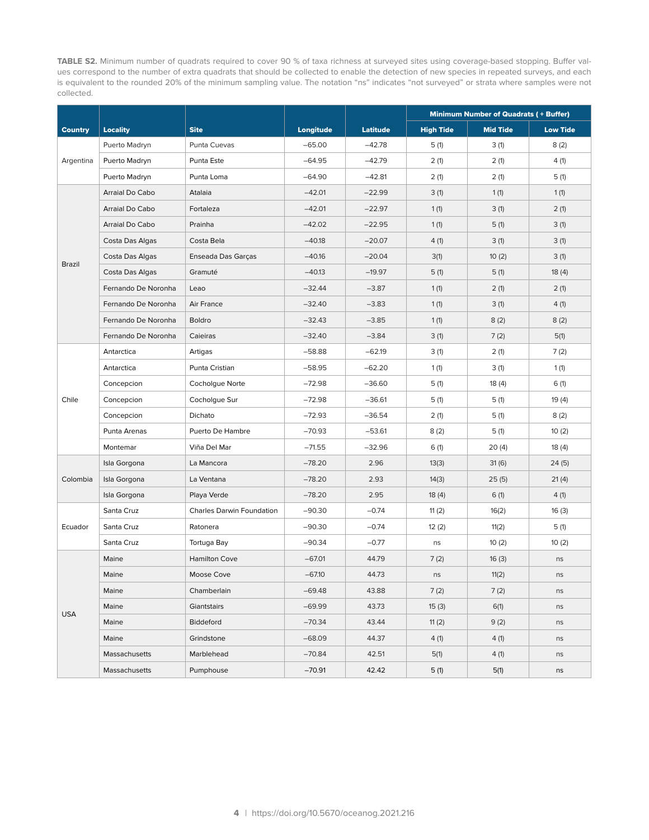**TABLE S2.** Minimum number of quadrats required to cover 90 % of taxa richness at surveyed sites using coverage-based stopping. Buffer values correspond to the number of extra quadrats that should be collected to enable the detection of new species in repeated surveys, and each is equivalent to the rounded 20% of the minimum sampling value. The notation "ns" indicates "not surveyed" or strata where samples were not collected.

|                |                     |                           |           |                 | <b>Minimum Number of Quadrats (+ Buffer)</b> |                 |                 |  |  |  |
|----------------|---------------------|---------------------------|-----------|-----------------|----------------------------------------------|-----------------|-----------------|--|--|--|
| <b>Country</b> | <b>Locality</b>     | <b>Site</b>               | Longitude | <b>Latitude</b> | <b>High Tide</b>                             | <b>Mid Tide</b> | <b>Low Tide</b> |  |  |  |
|                | Puerto Madryn       | Punta Cuevas              | $-65.00$  | $-42.78$        | 5(1)                                         | 3(1)            | 8(2)            |  |  |  |
| Argentina      | Puerto Madryn       | Punta Este                | $-64.95$  | $-42.79$        | 2(1)                                         | 2(1)            | 4(1)            |  |  |  |
|                | Puerto Madryn       | Punta Loma                | $-64.90$  | $-42.81$        | 2(1)                                         | 2(1)            | 5(1)            |  |  |  |
|                | Arraial Do Cabo     | Atalaia                   | $-42.01$  | $-22.99$        | 3(1)                                         | 1(1)            | 1(1)            |  |  |  |
|                | Arraial Do Cabo     | Fortaleza                 | $-42.01$  | $-22.97$        | 1(1)                                         | 3(1)            | 2(1)            |  |  |  |
|                | Arraial Do Cabo     | Prainha                   | $-42.02$  | $-22.95$        | 1(1)                                         | 5(1)            | 3(1)            |  |  |  |
|                | Costa Das Algas     | Costa Bela                | $-40.18$  | $-20.07$        | 4(1)                                         | 3(1)            | 3(1)            |  |  |  |
|                | Costa Das Algas     | Enseada Das Garças        | $-40.16$  | $-20.04$        | 3(1)                                         | 10(2)           | 3(1)            |  |  |  |
| Brazil         | Costa Das Algas     | Gramuté                   | $-40.13$  | $-19.97$        | 5(1)                                         | 5(1)            | 18(4)           |  |  |  |
|                | Fernando De Noronha | Leao                      | $-32.44$  | $-3.87$         | 1(1)                                         | 2(1)            | 2(1)            |  |  |  |
|                | Fernando De Noronha | Air France                | $-32.40$  | $-3.83$         | 1(1)                                         | 3(1)            | 4(1)            |  |  |  |
|                | Fernando De Noronha | Boldro                    | $-32.43$  | $-3.85$         | 1(1)                                         | 8(2)            | 8(2)            |  |  |  |
|                | Fernando De Noronha | Caieiras                  | $-32.40$  | $-3.84$         | 3(1)                                         | 7(2)            | 5(1)            |  |  |  |
|                | Antarctica          | Artigas                   | $-58.88$  | $-62.19$        | 3(1)                                         | 2(1)            | 7(2)            |  |  |  |
|                | Antarctica          | Punta Cristian            | $-58.95$  | $-62.20$        | 1(1)                                         | 3(1)            | 1(1)            |  |  |  |
|                | Concepcion          | Cocholgue Norte           | $-72.98$  | $-36.60$        | 5(1)                                         | 18(4)           | 6(1)            |  |  |  |
| Chile          | Concepcion          | Cocholgue Sur             | $-72.98$  | $-36.61$        | 5(1)                                         | 5(1)            | 19(4)           |  |  |  |
|                | Concepcion          | Dichato                   | $-72.93$  | $-36.54$        | 2(1)                                         | 5(1)            | 8(2)            |  |  |  |
|                | Punta Arenas        | Puerto De Hambre          | $-70.93$  | $-53.61$        | 8(2)                                         | 5(1)            | 10(2)           |  |  |  |
|                | Montemar            | Viña Del Mar              | $-71.55$  | $-32.96$        | 6(1)                                         | 20(4)           | 18(4)           |  |  |  |
|                | Isla Gorgona        | La Mancora                | $-78.20$  | 2.96            | 13(3)                                        | 31(6)           | 24(5)           |  |  |  |
| Colombia       | Isla Gorgona        | La Ventana                | $-78.20$  | 2.93            | 14(3)                                        | 25(5)           | 21(4)           |  |  |  |
|                | Isla Gorgona        | Playa Verde               | $-78.20$  | 2.95            | 18(4)                                        | 6(1)            | 4(1)            |  |  |  |
|                | Santa Cruz          | Charles Darwin Foundation | $-90.30$  | $-0.74$         | 11 $(2)$                                     | 16(2)           | 16(3)           |  |  |  |
| Ecuador        | Santa Cruz          | Ratonera                  | $-90.30$  | $-0.74$         | 12(2)                                        | 11(2)           | 5(1)            |  |  |  |
|                | Santa Cruz          | Tortuga Bay               | $-90.34$  | $-0.77$         | ns                                           | 10(2)           | 10(2)           |  |  |  |
|                | Maine               | <b>Hamilton Cove</b>      | $-67.01$  | 44.79           | 7(2)                                         | 16(3)           | ns              |  |  |  |
|                | Maine               | Moose Cove                | $-67.10$  | 44.73           | ns                                           | 11(2)           | ns              |  |  |  |
|                | Maine               | Chamberlain               | $-69.48$  | 43.88           | 7(2)                                         | 7(2)            | ns              |  |  |  |
|                | Maine               | Giantstairs               | $-69.99$  | 43.73           | 15(3)                                        | 6(1)            | ns              |  |  |  |
| <b>USA</b>     | Maine               | Biddeford                 |           | 43.44           | 11(2)                                        | 9(2)            | ns              |  |  |  |
|                | Maine               | Grindstone                | $-68.09$  | 44.37           | 4 (1)                                        | 4(1)            | ns              |  |  |  |
|                | Massachusetts       | Marblehead                | $-70.84$  | 42.51           | 5(1)                                         | 4(1)            | ns              |  |  |  |
|                | Massachusetts       | Pumphouse                 | $-70.91$  | 42.42           | 5(1)                                         | 5(1)            | ns              |  |  |  |